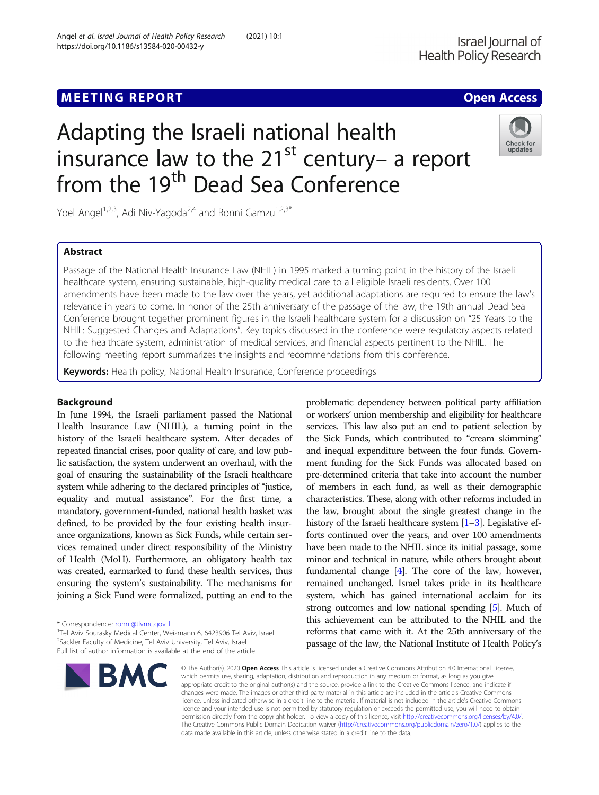# Adapting the Israeli national health insurance law to the  $21^{st}$  century– a report from the 19<sup>th</sup> Dead Sea Conference



Yoel Angel<sup>1,2,3</sup>, Adi Niv-Yagoda<sup>2,4</sup> and Ronni Gamzu<sup>1,2,3\*</sup>

# Abstract

Passage of the National Health Insurance Law (NHIL) in 1995 marked a turning point in the history of the Israeli healthcare system, ensuring sustainable, high-quality medical care to all eligible Israeli residents. Over 100 amendments have been made to the law over the years, yet additional adaptations are required to ensure the law's relevance in years to come. In honor of the 25th anniversary of the passage of the law, the 19th annual Dead Sea Conference brought together prominent figures in the Israeli healthcare system for a discussion on "25 Years to the NHIL: Suggested Changes and Adaptations". Key topics discussed in the conference were regulatory aspects related to the healthcare system, administration of medical services, and financial aspects pertinent to the NHIL. The following meeting report summarizes the insights and recommendations from this conference.

Keywords: Health policy, National Health Insurance, Conference proceedings

# Background

In June 1994, the Israeli parliament passed the National Health Insurance Law (NHIL), a turning point in the history of the Israeli healthcare system. After decades of repeated financial crises, poor quality of care, and low public satisfaction, the system underwent an overhaul, with the goal of ensuring the sustainability of the Israeli healthcare system while adhering to the declared principles of "justice, equality and mutual assistance". For the first time, a mandatory, government-funded, national health basket was defined, to be provided by the four existing health insurance organizations, known as Sick Funds, while certain services remained under direct responsibility of the Ministry of Health (MoH). Furthermore, an obligatory health tax was created, earmarked to fund these health services, thus ensuring the system's sustainability. The mechanisms for joining a Sick Fund were formalized, putting an end to the

\* Correspondence: [ronni@tlvmc.gov.il](mailto:ronni@tlvmc.gov.il) <sup>1</sup>

<sup>1</sup>Tel Aviv Sourasky Medical Center, Weizmann 6, 6423906 Tel Aviv, Israel <sup>2</sup>Sackler Faculty of Medicine, Tel Aviv University, Tel Aviv, Israel Full list of author information is available at the end of the article



problematic dependency between political party affiliation or workers' union membership and eligibility for healthcare services. This law also put an end to patient selection by the Sick Funds, which contributed to "cream skimming" and inequal expenditure between the four funds. Government funding for the Sick Funds was allocated based on pre-determined criteria that take into account the number of members in each fund, as well as their demographic characteristics. These, along with other reforms included in the law, brought about the single greatest change in the history of the Israeli healthcare system  $[1-3]$  $[1-3]$  $[1-3]$  $[1-3]$ . Legislative efforts continued over the years, and over 100 amendments have been made to the NHIL since its initial passage, some minor and technical in nature, while others brought about fundamental change [\[4\]](#page-6-0). The core of the law, however, remained unchanged. Israel takes pride in its healthcare system, which has gained international acclaim for its strong outcomes and low national spending [[5](#page-6-0)]. Much of this achievement can be attributed to the NHIL and the reforms that came with it. At the 25th anniversary of the passage of the law, the National Institute of Health Policy's

© The Author(s), 2020 **Open Access** This article is licensed under a Creative Commons Attribution 4.0 International License, which permits use, sharing, adaptation, distribution and reproduction in any medium or format, as long as you give appropriate credit to the original author(s) and the source, provide a link to the Creative Commons licence, and indicate if changes were made. The images or other third party material in this article are included in the article's Creative Commons licence, unless indicated otherwise in a credit line to the material. If material is not included in the article's Creative Commons licence and your intended use is not permitted by statutory regulation or exceeds the permitted use, you will need to obtain permission directly from the copyright holder. To view a copy of this licence, visit [http://creativecommons.org/licenses/by/4.0/.](http://creativecommons.org/licenses/by/4.0/) The Creative Commons Public Domain Dedication waiver [\(http://creativecommons.org/publicdomain/zero/1.0/](http://creativecommons.org/publicdomain/zero/1.0/)) applies to the data made available in this article, unless otherwise stated in a credit line to the data.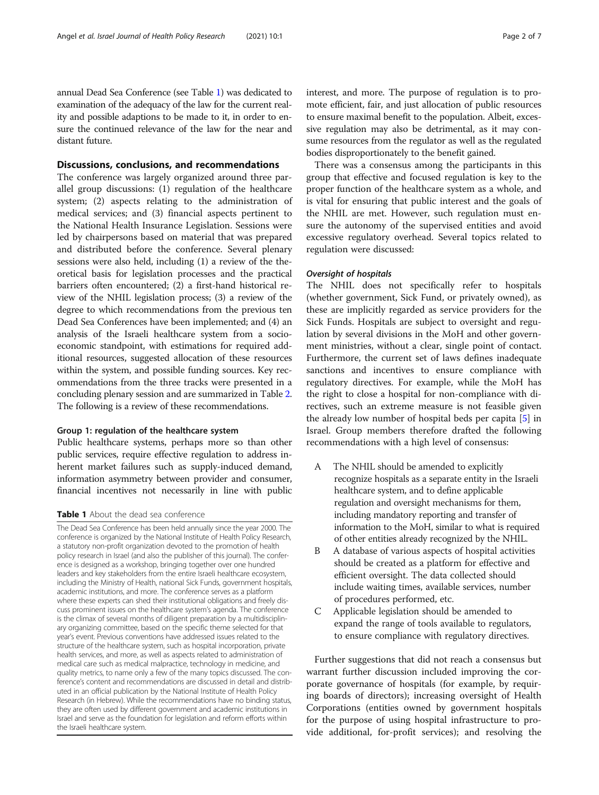annual Dead Sea Conference (see Table 1) was dedicated to examination of the adequacy of the law for the current reality and possible adaptions to be made to it, in order to ensure the continued relevance of the law for the near and distant future.

# Discussions, conclusions, and recommendations

The conference was largely organized around three parallel group discussions: (1) regulation of the healthcare system; (2) aspects relating to the administration of medical services; and (3) financial aspects pertinent to the National Health Insurance Legislation. Sessions were led by chairpersons based on material that was prepared and distributed before the conference. Several plenary sessions were also held, including (1) a review of the theoretical basis for legislation processes and the practical barriers often encountered; (2) a first-hand historical review of the NHIL legislation process; (3) a review of the degree to which recommendations from the previous ten Dead Sea Conferences have been implemented; and (4) an analysis of the Israeli healthcare system from a socioeconomic standpoint, with estimations for required additional resources, suggested allocation of these resources within the system, and possible funding sources. Key recommendations from the three tracks were presented in a concluding plenary session and are summarized in Table [2](#page-2-0). The following is a review of these recommendations.

#### Group 1: regulation of the healthcare system

Public healthcare systems, perhaps more so than other public services, require effective regulation to address inherent market failures such as supply-induced demand, information asymmetry between provider and consumer, financial incentives not necessarily in line with public

### Table 1 About the dead sea conference

The Dead Sea Conference has been held annually since the year 2000. The conference is organized by the National Institute of Health Policy Research, a statutory non-profit organization devoted to the promotion of health policy research in Israel (and also the publisher of this journal). The conference is designed as a workshop, bringing together over one hundred leaders and key stakeholders from the entire Israeli healthcare ecosystem, including the Ministry of Health, national Sick Funds, government hospitals, academic institutions, and more. The conference serves as a platform where these experts can shed their institutional obligations and freely discuss prominent issues on the healthcare system's agenda. The conference is the climax of several months of diligent preparation by a multidisciplinary organizing committee, based on the specific theme selected for that year's event. Previous conventions have addressed issues related to the structure of the healthcare system, such as hospital incorporation, private health services, and more, as well as aspects related to administration of medical care such as medical malpractice, technology in medicine, and quality metrics, to name only a few of the many topics discussed. The conference's content and recommendations are discussed in detail and distributed in an official publication by the National Institute of Health Policy Research (in Hebrew). While the recommendations have no binding status, they are often used by different government and academic institutions in Israel and serve as the foundation for legislation and reform efforts within the Israeli healthcare system.

interest, and more. The purpose of regulation is to promote efficient, fair, and just allocation of public resources to ensure maximal benefit to the population. Albeit, excessive regulation may also be detrimental, as it may consume resources from the regulator as well as the regulated bodies disproportionately to the benefit gained.

There was a consensus among the participants in this group that effective and focused regulation is key to the proper function of the healthcare system as a whole, and is vital for ensuring that public interest and the goals of the NHIL are met. However, such regulation must ensure the autonomy of the supervised entities and avoid excessive regulatory overhead. Several topics related to regulation were discussed:

#### Oversight of hospitals

The NHIL does not specifically refer to hospitals (whether government, Sick Fund, or privately owned), as these are implicitly regarded as service providers for the Sick Funds. Hospitals are subject to oversight and regulation by several divisions in the MoH and other government ministries, without a clear, single point of contact. Furthermore, the current set of laws defines inadequate sanctions and incentives to ensure compliance with regulatory directives. For example, while the MoH has the right to close a hospital for non-compliance with directives, such an extreme measure is not feasible given the already low number of hospital beds per capita [[5](#page-6-0)] in Israel. Group members therefore drafted the following recommendations with a high level of consensus:

- A The NHIL should be amended to explicitly recognize hospitals as a separate entity in the Israeli healthcare system, and to define applicable regulation and oversight mechanisms for them, including mandatory reporting and transfer of information to the MoH, similar to what is required of other entities already recognized by the NHIL.
- B A database of various aspects of hospital activities should be created as a platform for effective and efficient oversight. The data collected should include waiting times, available services, number of procedures performed, etc.
- C Applicable legislation should be amended to expand the range of tools available to regulators, to ensure compliance with regulatory directives.

Further suggestions that did not reach a consensus but warrant further discussion included improving the corporate governance of hospitals (for example, by requiring boards of directors); increasing oversight of Health Corporations (entities owned by government hospitals for the purpose of using hospital infrastructure to provide additional, for-profit services); and resolving the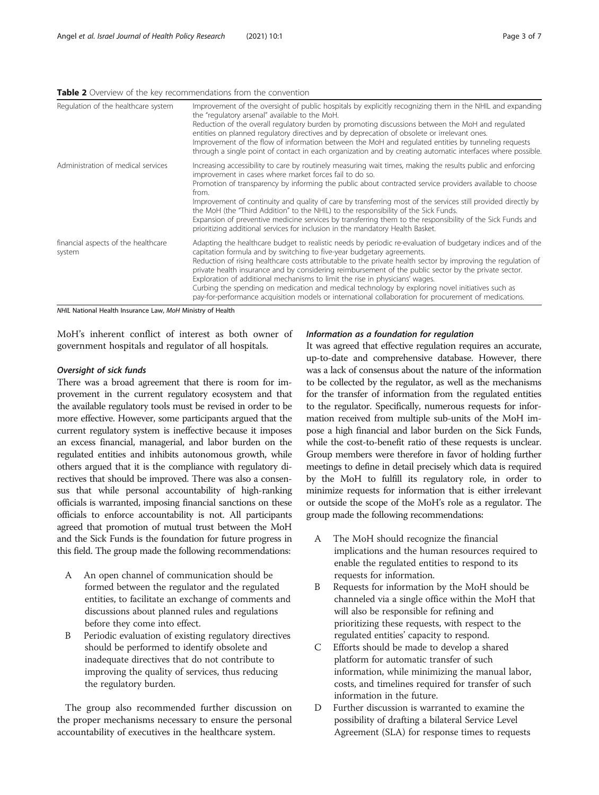<span id="page-2-0"></span>

| Regulation of the healthcare system           | Improvement of the oversight of public hospitals by explicitly recognizing them in the NHIL and expanding<br>the "regulatory arsenal" available to the MoH.<br>Reduction of the overall regulatory burden by promoting discussions between the MoH and regulated<br>entities on planned regulatory directives and by deprecation of obsolete or irrelevant ones.<br>Improvement of the flow of information between the MoH and regulated entities by tunneling requests<br>through a single point of contact in each organization and by creating automatic interfaces where possible.                                                                                                                       |
|-----------------------------------------------|--------------------------------------------------------------------------------------------------------------------------------------------------------------------------------------------------------------------------------------------------------------------------------------------------------------------------------------------------------------------------------------------------------------------------------------------------------------------------------------------------------------------------------------------------------------------------------------------------------------------------------------------------------------------------------------------------------------|
| Administration of medical services            | Increasing accessibility to care by routinely measuring wait times, making the results public and enforcing<br>improvement in cases where market forces fail to do so.<br>Promotion of transparency by informing the public about contracted service providers available to choose<br>from.<br>Improvement of continuity and quality of care by transferring most of the services still provided directly by<br>the MoH (the "Third Addition" to the NHIL) to the responsibility of the Sick Funds.<br>Expansion of preventive medicine services by transferring them to the responsibility of the Sick Funds and<br>prioritizing additional services for inclusion in the mandatory Health Basket.          |
| financial aspects of the healthcare<br>system | Adapting the healthcare budget to realistic needs by periodic re-evaluation of budgetary indices and of the<br>capitation formula and by switching to five-year budgetary agreements.<br>Reduction of rising healthcare costs attributable to the private health sector by improving the regulation of<br>private health insurance and by considering reimbursement of the public sector by the private sector.<br>Exploration of additional mechanisms to limit the rise in physicians' wages.<br>Curbing the spending on medication and medical technology by exploring novel initiatives such as<br>pay-for-performance acquisition models or international collaboration for procurement of medications. |

NHIL National Health Insurance Law, MoH Ministry of Health

MoH's inherent conflict of interest as both owner of government hospitals and regulator of all hospitals.

#### Oversight of sick funds

There was a broad agreement that there is room for improvement in the current regulatory ecosystem and that the available regulatory tools must be revised in order to be more effective. However, some participants argued that the current regulatory system is ineffective because it imposes an excess financial, managerial, and labor burden on the regulated entities and inhibits autonomous growth, while others argued that it is the compliance with regulatory directives that should be improved. There was also a consensus that while personal accountability of high-ranking officials is warranted, imposing financial sanctions on these officials to enforce accountability is not. All participants agreed that promotion of mutual trust between the MoH and the Sick Funds is the foundation for future progress in this field. The group made the following recommendations:

- A An open channel of communication should be formed between the regulator and the regulated entities, to facilitate an exchange of comments and discussions about planned rules and regulations before they come into effect.
- B Periodic evaluation of existing regulatory directives should be performed to identify obsolete and inadequate directives that do not contribute to improving the quality of services, thus reducing the regulatory burden.

The group also recommended further discussion on the proper mechanisms necessary to ensure the personal accountability of executives in the healthcare system.

# Information as a foundation for regulation

It was agreed that effective regulation requires an accurate, up-to-date and comprehensive database. However, there was a lack of consensus about the nature of the information to be collected by the regulator, as well as the mechanisms for the transfer of information from the regulated entities to the regulator. Specifically, numerous requests for information received from multiple sub-units of the MoH impose a high financial and labor burden on the Sick Funds, while the cost-to-benefit ratio of these requests is unclear. Group members were therefore in favor of holding further meetings to define in detail precisely which data is required by the MoH to fulfill its regulatory role, in order to minimize requests for information that is either irrelevant or outside the scope of the MoH's role as a regulator. The group made the following recommendations:

- A The MoH should recognize the financial implications and the human resources required to enable the regulated entities to respond to its requests for information.
- B Requests for information by the MoH should be channeled via a single office within the MoH that will also be responsible for refining and prioritizing these requests, with respect to the regulated entities' capacity to respond.
- C Efforts should be made to develop a shared platform for automatic transfer of such information, while minimizing the manual labor, costs, and timelines required for transfer of such information in the future.
- D Further discussion is warranted to examine the possibility of drafting a bilateral Service Level Agreement (SLA) for response times to requests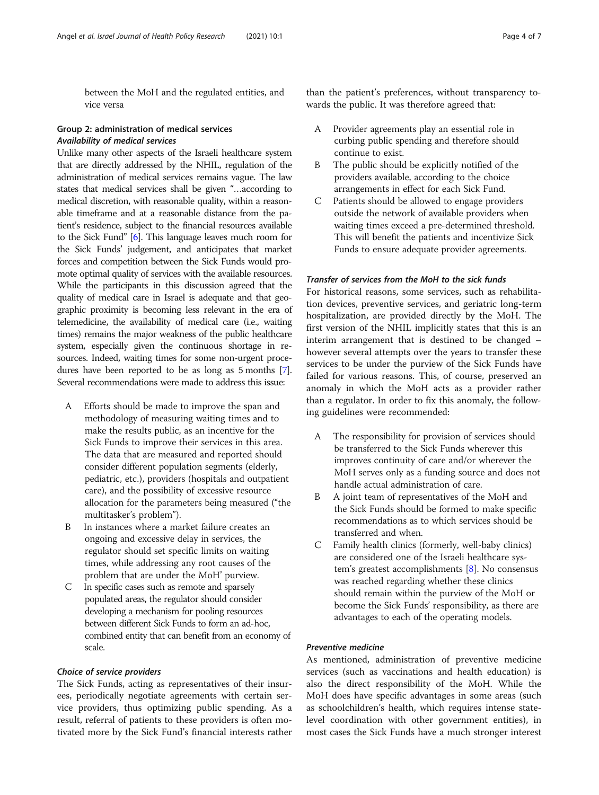between the MoH and the regulated entities, and vice versa

# Group 2: administration of medical services Availability of medical services

Unlike many other aspects of the Israeli healthcare system that are directly addressed by the NHIL, regulation of the administration of medical services remains vague. The law states that medical services shall be given "…according to medical discretion, with reasonable quality, within a reasonable timeframe and at a reasonable distance from the patient's residence, subject to the financial resources available to the Sick Fund" [\[6](#page-6-0)]. This language leaves much room for the Sick Funds' judgement, and anticipates that market forces and competition between the Sick Funds would promote optimal quality of services with the available resources. While the participants in this discussion agreed that the quality of medical care in Israel is adequate and that geographic proximity is becoming less relevant in the era of telemedicine, the availability of medical care (i.e., waiting times) remains the major weakness of the public healthcare system, especially given the continuous shortage in resources. Indeed, waiting times for some non-urgent procedures have been reported to be as long as 5 months [\[7](#page-6-0)]. Several recommendations were made to address this issue:

- A Efforts should be made to improve the span and methodology of measuring waiting times and to make the results public, as an incentive for the Sick Funds to improve their services in this area. The data that are measured and reported should consider different population segments (elderly, pediatric, etc.), providers (hospitals and outpatient care), and the possibility of excessive resource allocation for the parameters being measured ("the multitasker's problem").
- B In instances where a market failure creates an ongoing and excessive delay in services, the regulator should set specific limits on waiting times, while addressing any root causes of the problem that are under the MoH' purview.
- C In specific cases such as remote and sparsely populated areas, the regulator should consider developing a mechanism for pooling resources between different Sick Funds to form an ad-hoc, combined entity that can benefit from an economy of scale.

## Choice of service providers

The Sick Funds, acting as representatives of their insurees, periodically negotiate agreements with certain service providers, thus optimizing public spending. As a result, referral of patients to these providers is often motivated more by the Sick Fund's financial interests rather

than the patient's preferences, without transparency towards the public. It was therefore agreed that:

- A Provider agreements play an essential role in curbing public spending and therefore should continue to exist.
- B The public should be explicitly notified of the providers available, according to the choice arrangements in effect for each Sick Fund.
- C Patients should be allowed to engage providers outside the network of available providers when waiting times exceed a pre-determined threshold. This will benefit the patients and incentivize Sick Funds to ensure adequate provider agreements.

# Transfer of services from the MoH to the sick funds

For historical reasons, some services, such as rehabilitation devices, preventive services, and geriatric long-term hospitalization, are provided directly by the MoH. The first version of the NHIL implicitly states that this is an interim arrangement that is destined to be changed – however several attempts over the years to transfer these services to be under the purview of the Sick Funds have failed for various reasons. This, of course, preserved an anomaly in which the MoH acts as a provider rather than a regulator. In order to fix this anomaly, the following guidelines were recommended:

- A The responsibility for provision of services should be transferred to the Sick Funds wherever this improves continuity of care and/or wherever the MoH serves only as a funding source and does not handle actual administration of care.
- B A joint team of representatives of the MoH and the Sick Funds should be formed to make specific recommendations as to which services should be transferred and when.
- C Family health clinics (formerly, well-baby clinics) are considered one of the Israeli healthcare system's greatest accomplishments [\[8](#page-6-0)]. No consensus was reached regarding whether these clinics should remain within the purview of the MoH or become the Sick Funds' responsibility, as there are advantages to each of the operating models.

# Preventive medicine

As mentioned, administration of preventive medicine services (such as vaccinations and health education) is also the direct responsibility of the MoH. While the MoH does have specific advantages in some areas (such as schoolchildren's health, which requires intense statelevel coordination with other government entities), in most cases the Sick Funds have a much stronger interest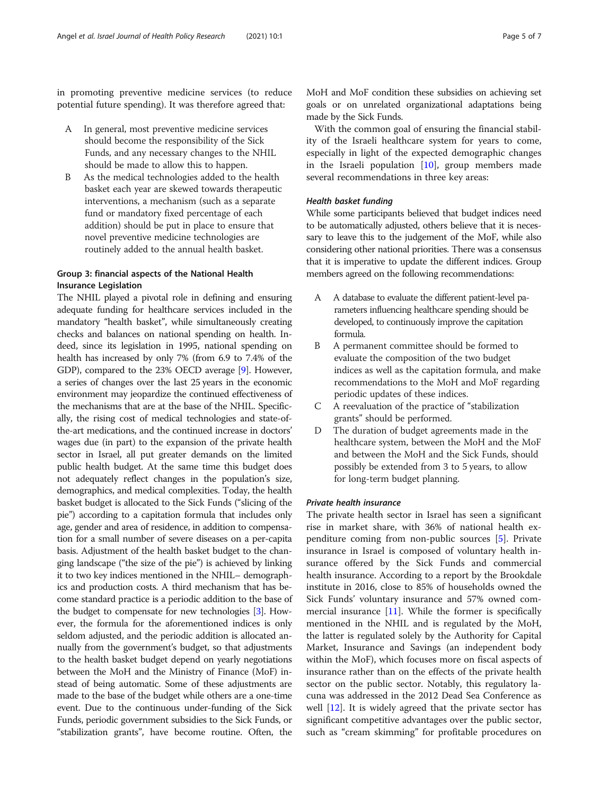in promoting preventive medicine services (to reduce potential future spending). It was therefore agreed that:

- A In general, most preventive medicine services should become the responsibility of the Sick Funds, and any necessary changes to the NHIL should be made to allow this to happen.
- B As the medical technologies added to the health basket each year are skewed towards therapeutic interventions, a mechanism (such as a separate fund or mandatory fixed percentage of each addition) should be put in place to ensure that novel preventive medicine technologies are routinely added to the annual health basket.

# Group 3: financial aspects of the National Health Insurance Legislation

The NHIL played a pivotal role in defining and ensuring adequate funding for healthcare services included in the mandatory "health basket", while simultaneously creating checks and balances on national spending on health. Indeed, since its legislation in 1995, national spending on health has increased by only 7% (from 6.9 to 7.4% of the GDP), compared to the 23% OECD average [[9\]](#page-6-0). However, a series of changes over the last 25 years in the economic environment may jeopardize the continued effectiveness of the mechanisms that are at the base of the NHIL. Specifically, the rising cost of medical technologies and state-ofthe-art medications, and the continued increase in doctors' wages due (in part) to the expansion of the private health sector in Israel, all put greater demands on the limited public health budget. At the same time this budget does not adequately reflect changes in the population's size, demographics, and medical complexities. Today, the health basket budget is allocated to the Sick Funds ("slicing of the pie") according to a capitation formula that includes only age, gender and area of residence, in addition to compensation for a small number of severe diseases on a per-capita basis. Adjustment of the health basket budget to the changing landscape ("the size of the pie") is achieved by linking it to two key indices mentioned in the NHIL– demographics and production costs. A third mechanism that has become standard practice is a periodic addition to the base of the budget to compensate for new technologies [[3](#page-6-0)]. However, the formula for the aforementioned indices is only seldom adjusted, and the periodic addition is allocated annually from the government's budget, so that adjustments to the health basket budget depend on yearly negotiations between the MoH and the Ministry of Finance (MoF) instead of being automatic. Some of these adjustments are made to the base of the budget while others are a one-time event. Due to the continuous under-funding of the Sick Funds, periodic government subsidies to the Sick Funds, or "stabilization grants", have become routine. Often, the

MoH and MoF condition these subsidies on achieving set goals or on unrelated organizational adaptations being made by the Sick Funds.

With the common goal of ensuring the financial stability of the Israeli healthcare system for years to come, especially in light of the expected demographic changes in the Israeli population  $[10]$  $[10]$ , group members made several recommendations in three key areas:

# Health basket funding

While some participants believed that budget indices need to be automatically adjusted, others believe that it is necessary to leave this to the judgement of the MoF, while also considering other national priorities. There was a consensus that it is imperative to update the different indices. Group members agreed on the following recommendations:

- A A database to evaluate the different patient-level parameters influencing healthcare spending should be developed, to continuously improve the capitation formula.
- B A permanent committee should be formed to evaluate the composition of the two budget indices as well as the capitation formula, and make recommendations to the MoH and MoF regarding periodic updates of these indices.
- C A reevaluation of the practice of "stabilization grants" should be performed.
- D The duration of budget agreements made in the healthcare system, between the MoH and the MoF and between the MoH and the Sick Funds, should possibly be extended from 3 to 5 years, to allow for long-term budget planning.

### Private health insurance

The private health sector in Israel has seen a significant rise in market share, with 36% of national health expenditure coming from non-public sources [[5](#page-6-0)]. Private insurance in Israel is composed of voluntary health insurance offered by the Sick Funds and commercial health insurance. According to a report by the Brookdale institute in 2016, close to 85% of households owned the Sick Funds' voluntary insurance and 57% owned commercial insurance  $[11]$ . While the former is specifically mentioned in the NHIL and is regulated by the MoH, the latter is regulated solely by the Authority for Capital Market, Insurance and Savings (an independent body within the MoF), which focuses more on fiscal aspects of insurance rather than on the effects of the private health sector on the public sector. Notably, this regulatory lacuna was addressed in the 2012 Dead Sea Conference as well [\[12\]](#page-6-0). It is widely agreed that the private sector has significant competitive advantages over the public sector, such as "cream skimming" for profitable procedures on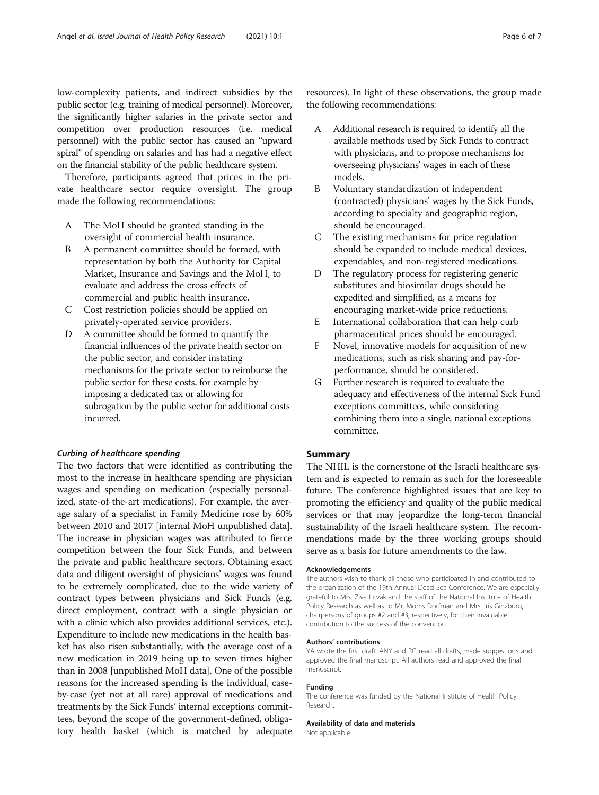low-complexity patients, and indirect subsidies by the public sector (e.g. training of medical personnel). Moreover, the significantly higher salaries in the private sector and competition over production resources (i.e. medical personnel) with the public sector has caused an "upward spiral" of spending on salaries and has had a negative effect on the financial stability of the public healthcare system.

Therefore, participants agreed that prices in the private healthcare sector require oversight. The group made the following recommendations:

- A The MoH should be granted standing in the oversight of commercial health insurance.
- B A permanent committee should be formed, with representation by both the Authority for Capital Market, Insurance and Savings and the MoH, to evaluate and address the cross effects of commercial and public health insurance.
- C Cost restriction policies should be applied on privately-operated service providers.
- D A committee should be formed to quantify the financial influences of the private health sector on the public sector, and consider instating mechanisms for the private sector to reimburse the public sector for these costs, for example by imposing a dedicated tax or allowing for subrogation by the public sector for additional costs incurred.

# Curbing of healthcare spending

The two factors that were identified as contributing the most to the increase in healthcare spending are physician wages and spending on medication (especially personalized, state-of-the-art medications). For example, the average salary of a specialist in Family Medicine rose by 60% between 2010 and 2017 [internal MoH unpublished data]. The increase in physician wages was attributed to fierce competition between the four Sick Funds, and between the private and public healthcare sectors. Obtaining exact data and diligent oversight of physicians' wages was found to be extremely complicated, due to the wide variety of contract types between physicians and Sick Funds (e.g. direct employment, contract with a single physician or with a clinic which also provides additional services, etc.). Expenditure to include new medications in the health basket has also risen substantially, with the average cost of a new medication in 2019 being up to seven times higher than in 2008 [unpublished MoH data]. One of the possible reasons for the increased spending is the individual, caseby-case (yet not at all rare) approval of medications and treatments by the Sick Funds' internal exceptions committees, beyond the scope of the government-defined, obligatory health basket (which is matched by adequate

resources). In light of these observations, the group made the following recommendations:

- A Additional research is required to identify all the available methods used by Sick Funds to contract with physicians, and to propose mechanisms for overseeing physicians' wages in each of these models.
- B Voluntary standardization of independent (contracted) physicians' wages by the Sick Funds, according to specialty and geographic region, should be encouraged.
- C The existing mechanisms for price regulation should be expanded to include medical devices, expendables, and non-registered medications.
- D The regulatory process for registering generic substitutes and biosimilar drugs should be expedited and simplified, as a means for encouraging market-wide price reductions.
- E International collaboration that can help curb pharmaceutical prices should be encouraged.
- F Novel, innovative models for acquisition of new medications, such as risk sharing and pay-forperformance, should be considered.
- G Further research is required to evaluate the adequacy and effectiveness of the internal Sick Fund exceptions committees, while considering combining them into a single, national exceptions committee.

# Summary

The NHIL is the cornerstone of the Israeli healthcare system and is expected to remain as such for the foreseeable future. The conference highlighted issues that are key to promoting the efficiency and quality of the public medical services or that may jeopardize the long-term financial sustainability of the Israeli healthcare system. The recommendations made by the three working groups should serve as a basis for future amendments to the law.

#### Acknowledgements

The authors wish to thank all those who participated in and contributed to the organization of the 19th Annual Dead Sea Conference. We are especially grateful to Mrs. Ziva Litvak and the staff of the National Institute of Health Policy Research as well as to Mr. Morris Dorfman and Mrs. Iris Ginzburg, chairpersons of groups #2 and #3, respectively, for their invaluable contribution to the success of the convention.

#### Authors' contributions

YA wrote the first draft. ANY and RG read all drafts, made suggestions and approved the final manuscript. All authors read and approved the final manuscript.

#### Funding

The conference was funded by the National Institute of Health Policy Research.

#### Availability of data and materials

Not applicable.